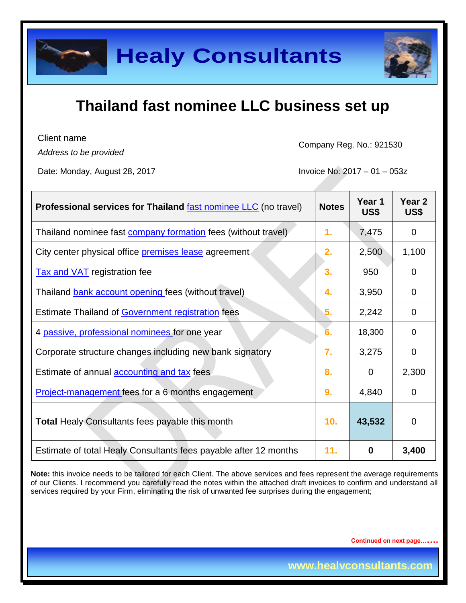

Client name

*Address to be provided*

Company Reg. No.: 921530

Date: Monday, August 28, 2017 **Invoice No: 2017** - 01 – 053z

| <b>Professional services for Thailand fast nominee LLC</b> (no travel) | <b>Notes</b> | Year 1<br>US\$ | Year <sub>2</sub><br>US\$ |
|------------------------------------------------------------------------|--------------|----------------|---------------------------|
| Thailand nominee fast company formation fees (without travel)          | 1.           | 7,475          | 0                         |
| City center physical office <b>premises lease</b> agreement            | 2.           | 2,500          | 1,100                     |
| <b>Tax and VAT</b> registration fee                                    | 3.           | 950            | $\Omega$                  |
| Thailand bank account opening fees (without travel)                    | 4.           | 3,950          | $\overline{0}$            |
| <b>Estimate Thailand of Government registration fees</b>               | 5.           | 2,242          | 0                         |
| 4 passive, professional nominees for one year                          | 6.           | 18,300         | $\overline{0}$            |
| Corporate structure changes including new bank signatory               | 7.           | 3,275          | $\Omega$                  |
| Estimate of annual <b>accounting and tax</b> fees                      | 8.           | $\overline{0}$ | 2,300                     |
| <b>Project-management fees for a 6 months engagement</b>               | 9.           | 4,840          | $\overline{0}$            |
| <b>Total Healy Consultants fees payable this month</b>                 | 10.          | 43,532         | $\mathbf 0$               |
| Estimate of total Healy Consultants fees payable after 12 months       | 11.          | 0              | 3,400                     |

**Note:** this invoice needs to be tailored for each Client. The above services and fees represent the average requirements of our Clients. I recommend you carefully read the notes within the attached draft invoices to confirm and understand all services required by your Firm, eliminating the risk of unwanted fee surprises during the engagement;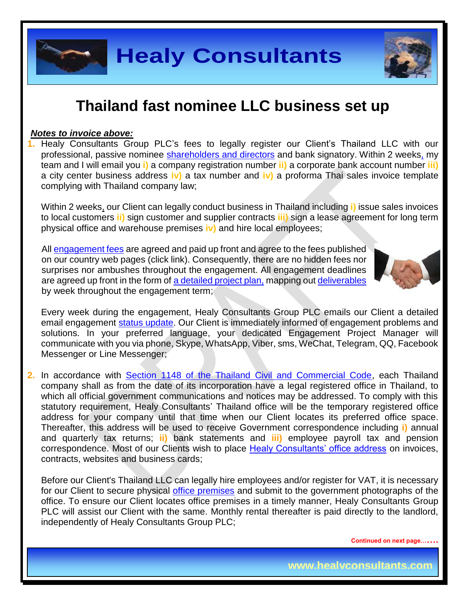

#### *Notes to invoice above:*

**1.** Healy Consultants Group PLC's fees to legally register our Client's Thailand LLC with our professional, passive nominee [shareholders and directors](http://www.healyconsultants.com/corporate-advisory-services/nominee-shareholders-directors/) and bank signatory. Within 2 weeks, my team and I will email you **i)** a company registration number **ii)** a corporate bank account number **iii)** a city center business address **iv)** a tax number and **iv)** a proforma Thai sales invoice template complying with Thailand company law;

Within 2 weeks, our Client can legally conduct business in Thailand including **i)** issue sales invoices to local customers **ii)** sign customer and supplier contracts **iii)** sign a lease agreement for long term physical office and warehouse premises **iv)** and hire local employees;

All [engagement fees](http://www.healyconsultants.com/company-registration-fees/) are agreed and paid up front and agree to the fees published on our country web pages (click link). Consequently, there are no hidden fees nor surprises nor ambushes throughout the engagement. All engagement deadlines are agreed up front in the form of [a detailed project plan,](http://www.healyconsultants.com/example-detailed-project-plan/) mapping out [deliverables](http://www.healyconsultants.com/deliverables-to-our-clients/) by week throughout the engagement term;



Every week during the engagement, Healy Consultants Group PLC emails our Client a detailed email engagement [status update.](http://www.healyconsultants.com/index-important-links/weekly-engagement-status-email/) Our Client is immediately informed of engagement problems and solutions. In your preferred language, your dedicated Engagement Project Manager will communicate with you via phone, Skype, WhatsApp, Viber, sms, WeChat, Telegram, QQ, Facebook Messenger or Line Messenger;

**2.** In accordance with Section [1148 of the Thailand Civil and Commercial Code,](http://www.thailawforum.com/database1/limited-company-thailand-3.html) each Thailand company shall as from the date of its incorporation have a legal registered office in Thailand, to which all official government communications and notices may be addressed. To comply with this statutory requirement, Healy Consultants' Thailand office will be the temporary registered office address for your company until that time when our Client locates its preferred office space. Thereafter, this address will be used to receive Government correspondence including **i)** annual and quarterly tax returns; **ii)** bank statements and **iii)** employee payroll tax and pension correspondence. Most of our Clients wish to place [Healy Consultants' office address](http://www.healyconsultants.com/corporate-outsourcing-services/company-secretary-and-legal-registered-office/) on invoices, contracts, websites and business cards;

Before our Client's Thailand LLC can legally hire employees and/or register for VAT, it is necessary for our Client to secure physical [office premises](http://www.healyconsultants.com/virtual-office/) and submit to the government photographs of the office. To ensure our Client locates office premises in a timely manner, Healy Consultants Group PLC will assist our Client with the same. Monthly rental thereafter is paid directly to the landlord, independently of Healy Consultants Group PLC;

**Continued on next page…….**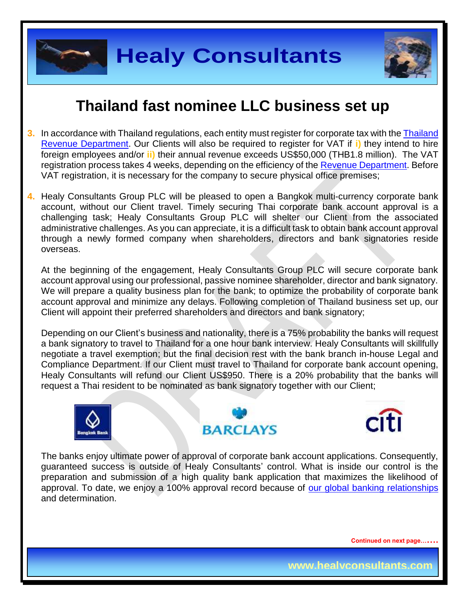



- **3.** In accordance with Thailand regulations, each entity must register for corporate tax with the [Thailand](http://www.rd.go.th/publish/6043.0.html)  [Revenue Department.](http://www.rd.go.th/publish/6043.0.html) Our Clients will also be required to register for VAT if **i)** they intend to hire foreign employees and/or **ii)** their annual revenue exceeds US\$50,000 (THB1.8 million). The VAT registration process takes 4 weeks, depending on the efficiency of the [Revenue Department.](http://www.rd.go.th/publish/index_eng.html) Before VAT registration, it is necessary for the company to secure physical office premises;
- **4.** Healy Consultants Group PLC will be pleased to open a Bangkok multi-currency corporate bank account, without our Client travel. Timely securing Thai corporate bank account approval is a challenging task; Healy Consultants Group PLC will shelter our Client from the associated administrative challenges. As you can appreciate, it is a difficult task to obtain bank account approval through a newly formed company when shareholders, directors and bank signatories reside overseas.

At the beginning of the engagement, Healy Consultants Group PLC will secure corporate bank account approval using our professional, passive nominee shareholder, director and bank signatory. We will prepare a quality business plan for the bank; to optimize the probability of corporate bank account approval and minimize any delays. Following completion of Thailand business set up, our Client will appoint their preferred shareholders and directors and bank signatory;

Depending on our Client's business and nationality, there is a 75% probability the banks will request a bank signatory to travel to Thailand for a one hour bank interview. Healy Consultants will skillfully negotiate a travel exemption; but the final decision rest with the bank branch in-house Legal and Compliance Department. If our Client must travel to Thailand for corporate bank account opening, Healy Consultants will refund our Client US\$950. There is a 20% probability that the banks will request a Thai resident to be nominated as bank signatory together with our Client;







The banks enjoy ultimate power of approval of corporate bank account applications. Consequently, guaranteed success is outside of Healy Consultants' control. What is inside our control is the preparation and submission of a high quality bank application that maximizes the likelihood of approval. To date, we enjoy a 100% approval record because of [our global banking relationships](http://www.healyconsultants.com/international-banking/corporate-accounts/) and determination.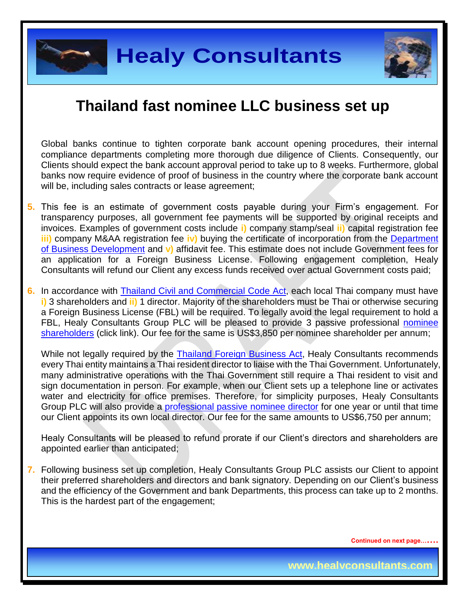

Global banks continue to tighten corporate bank account opening procedures, their internal compliance departments completing more thorough due diligence of Clients. Consequently, our Clients should expect the bank account approval period to take up to 8 weeks. Furthermore, global banks now require evidence of proof of business in the country where the corporate bank account will be, including sales contracts or lease agreement;

- **5.** This fee is an estimate of government costs payable during your Firm's engagement. For transparency purposes, all government fee payments will be supported by original receipts and invoices. Examples of government costs include **i)** company stamp/seal **ii)** capital registration fee **iii)** company M&AA registration fee **iv)** buying the certificate of incorporation from the [Department](http://www.dbd.go.th/dbdweb_en/main.php?filename=index)  [of Business Development](http://www.dbd.go.th/dbdweb_en/main.php?filename=index) and **v)** affidavit fee. This estimate does not include Government fees for an application for a Foreign Business License. Following engagement completion, Healy Consultants will refund our Client any excess funds received over actual Government costs paid;
- 6. In accordance with **Thailand Civil and Commercial Code Act**, each local Thai company must have **i)** 3 shareholders and **ii)** 1 director. Majority of the shareholders must be Thai or otherwise securing a Foreign Business License (FBL) will be required. To legally avoid the legal requirement to hold a FBL, Healy Consultants Group PLC will be pleased to provide 3 passive professional nominee [shareholders](http://www.healyconsultants.com/corporate-advisory-services/nominee-shareholders-directors/) (click link). Our fee for the same is US\$3,850 per nominee shareholder per annum;

While not legally required by the [Thailand Foreign](http://www.thailawforum.com/database1/foreign.html) Business Act, Healy Consultants recommends every Thai entity maintains a Thai resident director to liaise with the Thai Government. Unfortunately, many administrative operations with the Thai Government still require a Thai resident to visit and sign documentation in person. For example, when our Client sets up a telephone line or activates water and electricity for office premises. Therefore, for simplicity purposes, Healy Consultants Group PLC will also provide a [professional passive nominee director](http://www.healyconsultants.com/corporate-advisory-services/nominee-shareholders-directors/resident-director-services/) for one year or until that time our Client appoints its own local director. Our fee for the same amounts to US\$6,750 per annum;

Healy Consultants will be pleased to refund prorate if our Client's directors and shareholders are appointed earlier than anticipated;

**7.** Following business set up completion, Healy Consultants Group PLC assists our Client to appoint their preferred shareholders and directors and bank signatory. Depending on our Client's business and the efficiency of the Government and bank Departments, this process can take up to 2 months. This is the hardest part of the engagement;

**Continued on next page…….**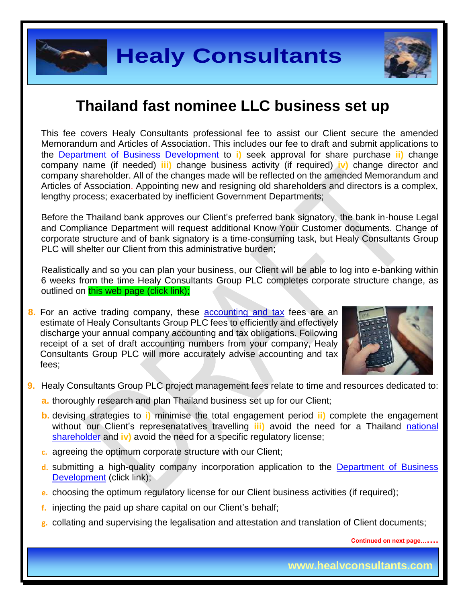

This fee covers Healy Consultants professional fee to assist our Client secure the amended Memorandum and Articles of Association. This includes our fee to draft and submit applications to the [Department of Business Development](http://www.dbd.go.th/dbdweb_en/main.php?filename=index) to **i)** seek approval for share purchase **ii)** change company name (if needed) **iii)** change business activity (if required) **iv)** change director and company shareholder. All of the changes made will be reflected on the amended Memorandum and Articles of Association. Appointing new and resigning old shareholders and directors is a complex, lengthy process; exacerbated by inefficient Government Departments;

Before the Thailand bank approves our Client's preferred bank signatory, the bank in-house Legal and Compliance Department will request additional Know Your Customer documents. Change of corporate structure and of bank signatory is a time-consuming task, but Healy Consultants Group PLC will shelter our Client from this administrative burden:

Realistically and so you can plan your business, our Client will be able to log into e-banking within 6 weeks from the time Healy Consultants Group PLC completes corporate structure change, as outlined on this web page (click link);

**8.** For an active trading company, these accounting and tax fees are an estimate of Healy Consultants Group PLC fees to efficiently and effectively discharge your annual company accounting and tax obligations. Following receipt of a set of draft accounting numbers from your company, Healy Consultants Group PLC will more accurately advise accounting and tax fees;



- **9.** Healy Consultants Group PLC project management fees relate to time and resources dedicated to:
	- **a.** thoroughly research and plan Thailand business set up for our Client;
	- **b.** devising strategies to **i)** minimise the total engagement period **ii)** complete the engagement without our Client's represenatatives travelling **iii)** avoid the need for a Thailand [national](http://www.healyconsultants.com/corporate-advisory-services/nominee-shareholders-directors/national-shareholder-services/) [shareholder](http://www.healyconsultants.com/corporate-advisory-services/nominee-shareholders-directors/national-shareholder-services/) and **iv)** avoid the need for a specific regulatory license;
	- **c.** agreeing the optimum corporate structure with our Client;
	- **d.** submitting a high-quality company incorporation application to the [Department of Business](http://www.dbd.go.th/dbdweb_en/main.php?filename=index)  [Development](http://www.dbd.go.th/dbdweb_en/main.php?filename=index) (click link);
	- **e.** choosing the optimum regulatory license for our Client business activities (if required);
	- **f.** injecting the paid up share capital on our Client's behalf;
	- **g.** collating and supervising the legalisation and attestation and translation of Client documents;

**Continued on next page…….**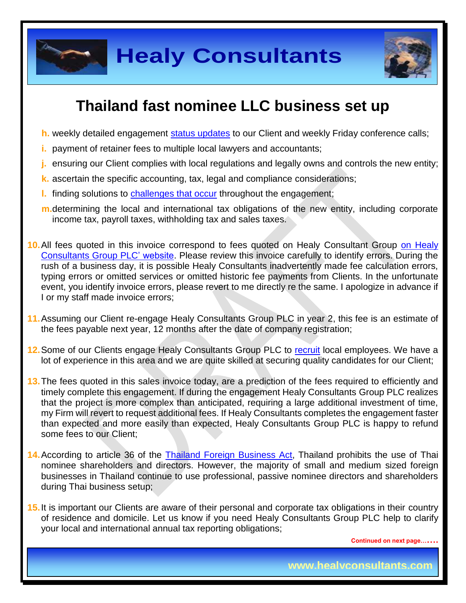

**Healy Consultants**



# **Thailand fast nominee LLC business set up**

- **h.** weekly detailed engagement [status updates](http://www.healyconsultants.com/index-important-links/weekly-engagement-status-email/) to our Client and weekly Friday conference calls;
- **i.** payment of retainer fees to multiple local lawyers and accountants;
- **j.** ensuring our Client complies with local regulations and legally owns and controls the new entity;
- **k.** ascertain the specific accounting, tax, legal and compliance considerations;
- **l.** finding solutions to [challenges that occur](http://www.healyconsultants.com/engagement-project-management/) throughout the engagement;
- **m.**determining the local and international tax obligations of the new entity, including corporate income tax, payroll taxes, withholding tax and sales taxes.
- **10.**All fees quoted in this invoice correspond to fees quoted on Healy Consultant Group [on Healy](http://www.healyconsultants.com/company-registration-fees/)  [Consultants Group PLC' website.](http://www.healyconsultants.com/company-registration-fees/) Please review this invoice carefully to identify errors. During the rush of a business day, it is possible Healy Consultants inadvertently made fee calculation errors, typing errors or omitted services or omitted historic fee payments from Clients. In the unfortunate event, you identify invoice errors, please revert to me directly re the same. I apologize in advance if I or my staff made invoice errors;
- **11.**Assuming our Client re-engage Healy Consultants Group PLC in year 2, this fee is an estimate of the fees payable next year, 12 months after the date of company registration;
- **12.**Some of our Clients engage Healy Consultants Group PLC to [recruit](http://www.healyconsultants.com/corporate-outsourcing-services/how-we-help-our-clients-recruit-quality-employees/) local employees. We have a lot of experience in this area and we are quite skilled at securing quality candidates for our Client;
- **13.**The fees quoted in this sales invoice today, are a prediction of the fees required to efficiently and timely complete this engagement. If during the engagement Healy Consultants Group PLC realizes that the project is more complex than anticipated, requiring a large additional investment of time, my Firm will revert to request additional fees. If Healy Consultants completes the engagement faster than expected and more easily than expected, Healy Consultants Group PLC is happy to refund some fees to our Client;
- **14.**According to article 36 of the [Thailand Foreign Business Act,](http://www.thailawforum.com/database1/foreign.html) Thailand prohibits the use of Thai nominee shareholders and directors. However, the majority of small and medium sized foreign businesses in Thailand continue to use professional, passive nominee directors and shareholders during Thai business setup;
- **15.**It is important our Clients are aware of their personal and corporate tax obligations in their country of residence and domicile. Let us know if you need Healy Consultants Group PLC help to clarify your local and international annual tax reporting obligations;

**Continued on next page…….**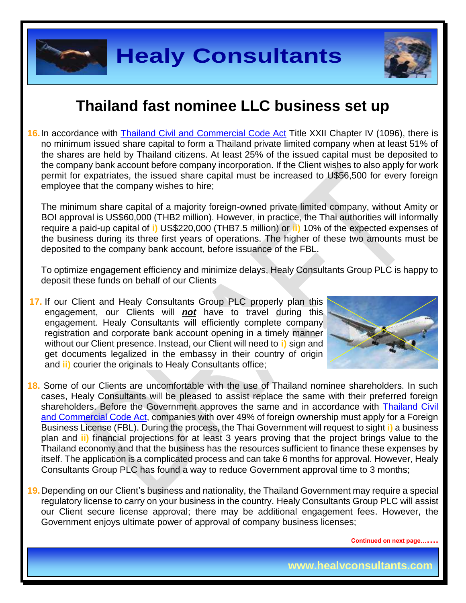

**16.** In accordance with [Thailand Civil and Commercial Code Act](http://www.ilo.org/dyn/natlex/.../THA5096.pdf) Title XXII Chapter IV (1096), there is no minimum issued share capital to form a Thailand private limited company when at least 51% of the shares are held by Thailand citizens. At least 25% of the issued capital must be deposited to the company bank account before company incorporation. If the Client wishes to also apply for work permit for expatriates, the issued share capital must be increased to U\$56,500 for every foreign employee that the company wishes to hire;

The minimum share capital of a majority foreign-owned private limited company, without Amity or BOI approval is US\$60,000 (THB2 million). However, in practice, the Thai authorities will informally require a paid-up capital of **i)** US\$220,000 (THB7.5 million) or **ii)** 10% of the expected expenses of the business during its three first years of operations. The higher of these two amounts must be deposited to the company bank account, before issuance of the FBL.

To optimize engagement efficiency and minimize delays, Healy Consultants Group PLC is happy to deposit these funds on behalf of our Clients

**17.** If our Client and Healy Consultants Group PLC properly plan this engagement, our Clients will *not* have to travel during this engagement. Healy Consultants will efficiently complete company registration and corporate bank account opening in a timely manner without our Client presence. Instead, our Client will need to **i)** sign and get documents legalized in the embassy in their country of origin and **ii)** courier the originals to Healy Consultants office;



- **18.** Some of our Clients are uncomfortable with the use of Thailand nominee shareholders. In such cases, Healy Consultants will be pleased to assist replace the same with their preferred foreign shareholders. Before the Government approves the same and in accordance with [Thailand Civil](http://www.ilo.org/dyn/natlex/.../THA5096.pdf)  [and Commercial Code](http://www.ilo.org/dyn/natlex/.../THA5096.pdf) Act, companies with over 49% of foreign ownership must apply for a Foreign Business License (FBL). During the process, the Thai Government will request to sight **i)** a business plan and **ii)** financial projections for at least 3 years proving that the project brings value to the Thailand economy and that the business has the resources sufficient to finance these expenses by itself. The application is a complicated process and can take 6 months for approval. However, Healy Consultants Group PLC has found a way to reduce Government approval time to 3 months;
- **19.**Depending on our Client's business and nationality, the Thailand Government may require a special regulatory license to carry on your business in the country. Healy Consultants Group PLC will assist our Client secure license approval; there may be additional engagement fees. However, the Government enjoys ultimate power of approval of company business licenses;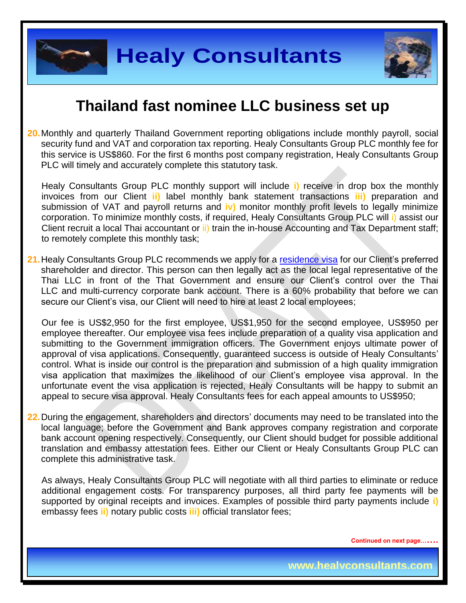

**20.**Monthly and quarterly Thailand Government reporting obligations include monthly payroll, social security fund and VAT and corporation tax reporting. Healy Consultants Group PLC monthly fee for this service is US\$860. For the first 6 months post company registration, Healy Consultants Group PLC will timely and accurately complete this statutory task.

Healy Consultants Group PLC monthly support will include **i)** receive in drop box the monthly invoices from our Client **ii)** label monthly bank statement transactions **iii)** preparation and submission of VAT and payroll returns and **iv)** monitor monthly profit levels to legally minimize corporation. To minimize monthly costs, if required, Healy Consultants Group PLC will i) assist our Client recruit a local Thai accountant or ii) train the in-house Accounting and Tax Department staff; to remotely complete this monthly task;

21. Healy Consultants Group PLC recommends we apply for a [residence visa](http://www.healyconsultants.com/thailand-company-registration/formation-support-services/) for our Client's preferred shareholder and director. This person can then legally act as the local legal representative of the Thai LLC in front of the That Government and ensure our Client's control over the Thai LLC and multi-currency corporate bank account. There is a 60% probability that before we can secure our Client's visa, our Client will need to hire at least 2 local employees;

Our fee is US\$2,950 for the first employee, US\$1,950 for the second employee, US\$950 per employee thereafter. Our employee visa fees include preparation of a quality visa application and submitting to the Government immigration officers. The Government enjoys ultimate power of approval of visa applications. Consequently, guaranteed success is outside of Healy Consultants' control. What is inside our control is the preparation and submission of a high quality immigration visa application that maximizes the likelihood of our Client's employee visa approval. In the unfortunate event the visa application is rejected, Healy Consultants will be happy to submit an appeal to secure visa approval. Healy Consultants fees for each appeal amounts to US\$950;

**22.**During the engagement, shareholders and directors' documents may need to be translated into the local language; before the Government and Bank approves company registration and corporate bank account opening respectively. Consequently, our Client should budget for possible additional translation and embassy attestation fees. Either our Client or Healy Consultants Group PLC can complete this administrative task.

As always, Healy Consultants Group PLC will negotiate with all third parties to eliminate or reduce additional engagement costs. For transparency purposes, all third party fee payments will be supported by original receipts and invoices. Examples of possible third party payments include **i)** embassy fees **ii)** notary public costs **iii)** official translator fees;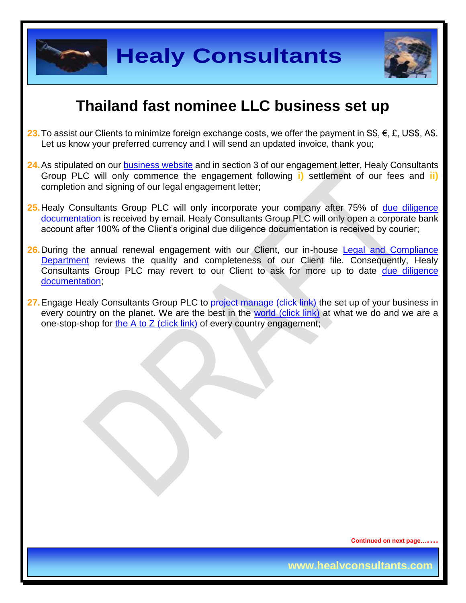



- **23.** To assist our Clients to minimize foreign exchange costs, we offer the payment in S\$, €, £, US\$, A\$. Let us know your preferred currency and I will send an updated invoice, thank you;
- **24.**As stipulated on our [business website](http://www.healyconsultants.com/) and in section 3 of our engagement letter, Healy Consultants Group PLC will only commence the engagement following **i)** settlement of our fees and **ii)** completion and signing of our legal engagement letter;
- **25.**Healy Consultants Group PLC will only incorporate your company after 75% of [due diligence](http://www.healyconsultants.com/due-diligence/)  [documentation](http://www.healyconsultants.com/due-diligence/) is received by email. Healy Consultants Group PLC will only open a corporate bank account after 100% of the Client's original due diligence documentation is received by courier;
- **26.** During the annual renewal engagement with our Client, our in-house Legal and Compliance [Department](http://www.healyconsultants.com/about-us/key-personnel/cai-xin-profile/) reviews the quality and completeness of our Client file. Consequently, Healy Consultants Group PLC may revert to our Client to ask for more up to date [due diligence](http://www.healyconsultants.com/due-diligence/)  [documentation;](http://www.healyconsultants.com/due-diligence/)
- 27. Engage Healy Consultants Group PLC to [project manage \(click link\)](http://www.healyconsultants.com/project-manage-engagements/) the set up of your business in every country on the planet. We are the best in the [world \(click link\)](http://www.healyconsultants.com/best-in-the-world/) at what we do and we are a one-stop-shop for [the A to Z \(click link\)](http://www.healyconsultants.com/a-to-z-of-business-set-up/) of every country engagement;